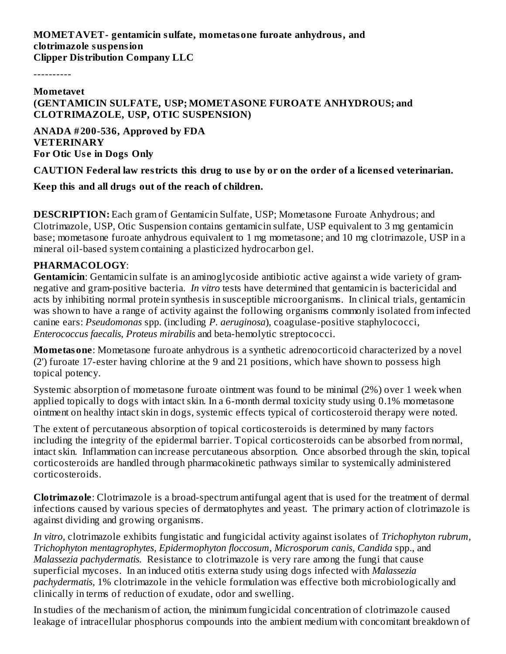**MOMETAVET- gentamicin sulfate, mometasone furoate anhydrous, and clotrimazole suspension Clipper Distribution Company LLC**

----------

#### **Mometavet**

#### **(GENTAMICIN SULFATE, USP; MOMETASONE FUROATE ANHYDROUS; and CLOTRIMAZOLE, USP, OTIC SUSPENSION)**

**ANADA # 200-536, Approved by FDA VETERINARY For Otic Us e in Dogs Only**

CAUTION Federal law restricts this drug to use by or on the order of a licensed veterinarian.

**Keep this and all drugs out of the reach of children.**

**DESCRIPTION:** Each gram of Gentamicin Sulfate, USP; Mometasone Furoate Anhydrous; and Clotrimazole, USP, Otic Suspension contains gentamicin sulfate, USP equivalent to 3 mg gentamicin base; mometasone furoate anhydrous equivalent to 1 mg mometasone; and 10 mg clotrimazole, USP in a mineral oil-based system containing a plasticized hydrocarbon gel.

#### **PHARMACOLOGY**:

**Gentamicin**: Gentamicin sulfate is an aminoglycoside antibiotic active against a wide variety of gramnegative and gram-positive bacteria. *In vitro* tests have determined that gentamicin is bactericidal and acts by inhibiting normal protein synthesis in susceptible microorganisms. In clinical trials, gentamicin was shown to have a range of activity against the following organisms commonly isolated from infected canine ears: *Pseudomonas* spp. (including *P. aeruginosa*), coagulase-positive staphylococci, *Enterococcus faecalis, Proteus mirabilis* and beta-hemolytic streptococci.

**Mometasone**: Mometasone furoate anhydrous is a synthetic adrenocorticoid characterized by a novel (2') furoate 17-ester having chlorine at the 9 and 21 positions, which have shown to possess high topical potency.

Systemic absorption of mometasone furoate ointment was found to be minimal (2%) over 1 week when applied topically to dogs with intact skin. In a 6-month dermal toxicity study using 0.1% mometasone ointment on healthy intact skin in dogs, systemic effects typical of corticosteroid therapy were noted.

The extent of percutaneous absorption of topical corticosteroids is determined by many factors including the integrity of the epidermal barrier. Topical corticosteroids can be absorbed from normal, intact skin. Inflammation can increase percutaneous absorption. Once absorbed through the skin, topical corticosteroids are handled through pharmacokinetic pathways similar to systemically administered corticosteroids.

**Clotrimazole**: Clotrimazole is a broad-spectrum antifungal agent that is used for the treatment of dermal infections caused by various species of dermatophytes and yeast. The primary action of clotrimazole is against dividing and growing organisms.

*In vitro,* clotrimazole exhibits fungistatic and fungicidal activity against isolates of *Trichophyton rubrum, Trichophyton mentagrophytes, Epidermophyton floccosum, Microsporum canis, Candida* spp., and *Malassezia pachydermatis.* Resistance to clotrimazole is very rare among the fungi that cause superficial mycoses. In an induced otitis externa study using dogs infected with *Malassezia pachydermatis,* 1% clotrimazole in the vehicle formulation was effective both microbiologically and clinically in terms of reduction of exudate, odor and swelling.

In studies of the mechanism of action, the minimum fungicidal concentration of clotrimazole caused leakage of intracellular phosphorus compounds into the ambient medium with concomitant breakdown of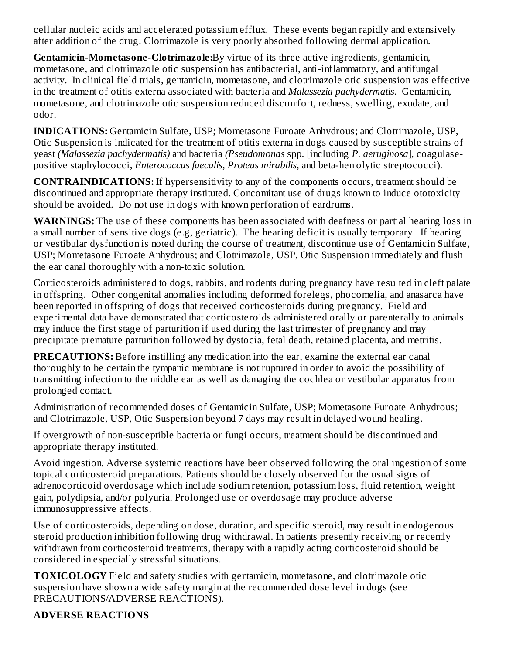cellular nucleic acids and accelerated potassium efflux. These events began rapidly and extensively after addition of the drug. Clotrimazole is very poorly absorbed following dermal application.

**Gentamicin-Mometasone-Clotrimazole:**By virtue of its three active ingredients, gentamicin, mometasone, and clotrimazole otic suspension has antibacterial, anti-inflammatory, and antifungal activity. In clinical field trials, gentamicin, mometasone, and clotrimazole otic suspension was effective in the treatment of otitis externa associated with bacteria and *Malassezia pachydermatis*. Gentamicin, mometasone, and clotrimazole otic suspension reduced discomfort, redness, swelling, exudate, and odor.

**INDICATIONS:** Gentamicin Sulfate, USP; Mometasone Furoate Anhydrous; and Clotrimazole, USP, Otic Suspension is indicated for the treatment of otitis externa in dogs caused by susceptible strains of yeast *(Malassezia pachydermatis)* and bacteria *(Pseudomonas* spp. [including *P. aeruginosa*], coagulasepositive staphylococci, *Enterococcus faecalis, Proteus mirabilis,* and beta-hemolytic streptococci).

**CONTRAINDICATIONS:** If hypersensitivity to any of the components occurs, treatment should be discontinued and appropriate therapy instituted. Concomitant use of drugs known to induce ototoxicity should be avoided. Do not use in dogs with known perforation of eardrums.

**WARNINGS:** The use of these components has been associated with deafness or partial hearing loss in a small number of sensitive dogs (e.g, geriatric). The hearing deficit is usually temporary. If hearing or vestibular dysfunction is noted during the course of treatment, discontinue use of Gentamicin Sulfate, USP; Mometasone Furoate Anhydrous; and Clotrimazole, USP, Otic Suspension immediately and flush the ear canal thoroughly with a non-toxic solution.

Corticosteroids administered to dogs, rabbits, and rodents during pregnancy have resulted in cleft palate in offspring. Other congenital anomalies including deformed forelegs, phocomelia, and anasarca have been reported in offspring of dogs that received corticosteroids during pregnancy. Field and experimental data have demonstrated that corticosteroids administered orally or parenterally to animals may induce the first stage of parturition if used during the last trimester of pregnancy and may precipitate premature parturition followed by dystocia, fetal death, retained placenta, and metritis.

**PRECAUTIONS:** Before instilling any medication into the ear, examine the external ear canal thoroughly to be certain the tympanic membrane is not ruptured in order to avoid the possibility of transmitting infection to the middle ear as well as damaging the cochlea or vestibular apparatus from prolonged contact.

Administration of recommended doses of Gentamicin Sulfate, USP; Mometasone Furoate Anhydrous; and Clotrimazole, USP, Otic Suspension beyond 7 days may result in delayed wound healing.

If overgrowth of non-susceptible bacteria or fungi occurs, treatment should be discontinued and appropriate therapy instituted.

Avoid ingestion. Adverse systemic reactions have been observed following the oral ingestion of some topical corticosteroid preparations. Patients should be closely observed for the usual signs of adrenocorticoid overdosage which include sodium retention, potassium loss, fluid retention, weight gain, polydipsia, and/or polyuria. Prolonged use or overdosage may produce adverse immunosuppressive effects.

Use of corticosteroids, depending on dose, duration, and specific steroid, may result in endogenous steroid production inhibition following drug withdrawal. In patients presently receiving or recently withdrawn from corticosteroid treatments, therapy with a rapidly acting corticosteroid should be considered in especially stressful situations.

**TOXICOLOGY** Field and safety studies with gentamicin, mometasone, and clotrimazole otic suspension have shown a wide safety margin at the recommended dose level in dogs (see PRECAUTIONS/ADVERSE REACTIONS).

#### **ADVERSE REACTIONS**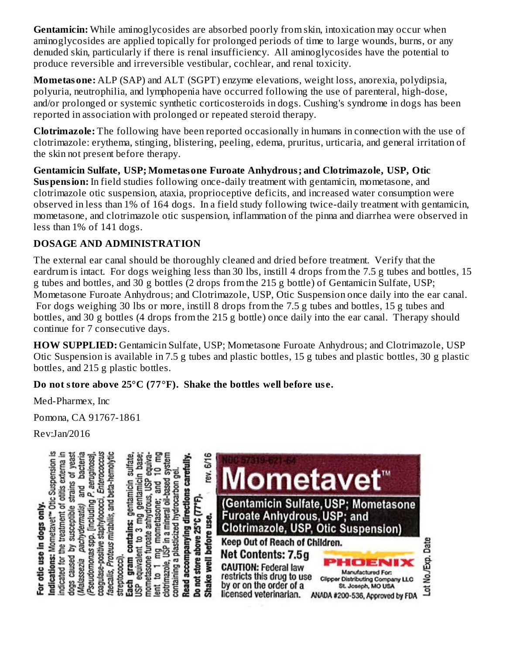**Gentamicin:** While aminoglycosides are absorbed poorly from skin, intoxication may occur when aminoglycosides are applied topically for prolonged periods of time to large wounds, burns, or any denuded skin, particularly if there is renal insufficiency. All aminoglycosides have the potential to produce reversible and irreversible vestibular, cochlear, and renal toxicity.

**Mometasone:** ALP (SAP) and ALT (SGPT) enzyme elevations, weight loss, anorexia, polydipsia, polyuria, neutrophilia, and lymphopenia have occurred following the use of parenteral, high-dose, and/or prolonged or systemic synthetic corticosteroids in dogs. Cushing's syndrome in dogs has been reported in association with prolonged or repeated steroid therapy.

**Clotrimazole:** The following have been reported occasionally in humans in connection with the use of clotrimazole: erythema, stinging, blistering, peeling, edema, pruritus, urticaria, and general irritation of the skin not present before therapy.

**Gentamicin Sulfate, USP; Mometasone Furoate Anhydrous; and Clotrimazole, USP, Otic Suspension:** In field studies following once-daily treatment with gentamicin, mometasone, and clotrimazole otic suspension, ataxia, proprioceptive deficits, and increased water consumption were observed in less than 1% of 164 dogs. In a field study following twice-daily treatment with gentamicin, mometasone, and clotrimazole otic suspension, inflammation of the pinna and diarrhea were observed in less than 1% of 141 dogs.

#### **DOSAGE AND ADMINISTRATION**

The external ear canal should be thoroughly cleaned and dried before treatment. Verify that the eardrum is intact. For dogs weighing less than 30 lbs, instill 4 drops from the 7.5 g tubes and bottles, 15 g tubes and bottles, and 30 g bottles (2 drops from the 215 g bottle) of Gentamicin Sulfate, USP; Mometasone Furoate Anhydrous; and Clotrimazole, USP, Otic Suspension once daily into the ear canal. For dogs weighing 30 lbs or more, instill 8 drops from the 7.5 g tubes and bottles, 15 g tubes and bottles, and 30 g bottles (4 drops from the 215 g bottle) once daily into the ear canal. Therapy should continue for 7 consecutive days.

**HOW SUPPLIED:** Gentamicin Sulfate, USP; Mometasone Furoate Anhydrous; and Clotrimazole, USP Otic Suspension is available in 7.5 g tubes and plastic bottles, 15 g tubes and plastic bottles, 30 g plastic bottles, and 215 g plastic bottles.

**Do not store above 25°C (77°F). Shake the bottles well before us e.**

Med-Pharmex, Inc

Pomona, CA 91767-1861

Rev:Jan/2016

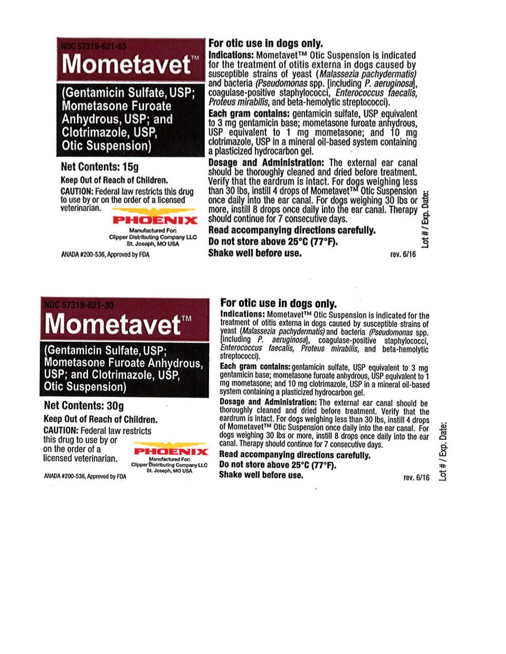# 57319-621-63 Mometavet<sup>™</sup>

(Gentamicin Sulfate, USP; Mometasone Furoate Anhydrous, USP; and Clotrimazole, USP, **Otic Suspension)** 

#### **Net Contents: 15g**

Keep Out of Reach of Children.

**CAUTION: Federal law restricts this drug** to use by or on the order of a licensed veterinarian.

> HOENIX Manufactured For: Clipper Distributing Company LLC St. Joseph, MO USA

ANADA #200-536, Approved by FDA

#### For otic use in dogs only.

Indications: Mometavet™ Otic Suspension is indicated for the treatment of otitis externa in dogs caused by susceptible strains of yeast (Malassezia pachydermatis) and bacteria (Pseudomonas spp. [including P. aeruginosa], coagulase-positive staphylococci, Enterococcus faecalis, Profeus mirabilis, and beta-hemolytic streptococci).

Each gram contains: gentamicin sulfate, USP equivalent to 3 mg gentamicin base; mometasone furoate anhydrous, USP equivalent to 1 mg mometasone; and 10 mg clotrimazole, USP in a mineral oil-based system containing a plasticized hydrocarbon gel.

Dosage and Administration: The external ear canal should be thoroughly cleaned and dried before treatment. Verify that the eardrum is intact. For dogs weighing less than 30 lbs, instill 4 drops of Mometavet<sup>TM</sup> Otic Suspension Exp. Date once daily into the ear canal. For dogs weighing 30 lbs or more, instill 8 drops once daily into the ear canal. Therapy should continue for 7 consecutive days.

Read accompanying directions carefully. Do not store above 25°C (77°F). Shake well before use.

rev. 6/16

1#

# IDC 57319-621-30 Mometavet™

(Gentamicin Sulfate, USP: Mometasone Furoate Anhydrous, USP; and Clotrimazole, USP. **Otic Suspension)** 

## **Net Contents: 30g**

Keep Out of Reach of Children. **CAUTION: Federal law restricts** this drug to use by or on the order of a licensed veterinarian.



ANADA #200-536, Approved by FDA

#### For otic use in dogs only.

Indications: Mometavet™ Otic Suspension is indicated for the treatment of otitis externa in dogs caused by susceptible strains of yeast (Malassezia pachydermatis) and bacteria (Pseudomonas spp.<br>lincluding P. aeruginosal, coagulase-positive staphylococci,<br>Enterococcus faecalis, Proteus mirabilis, and beta-hemolytic streptococci).

Each gram contains: gentamicin sulfate, USP equivalent to 3 mg gentamicin base; mometasone furoate anhydrous, USP equivalent to 1 mg mometasone; and 10 mg clotrimazole, USP in a mineral oil-based system containing a plasticized hydrocarbon gel.

Dosage and Administration: The external ear canal should be thoroughly cleaned and dried before treatment. Verify that the eardrum is intact. For dogs weighing less than 30 lbs, instill 4 drops of Mometavet™ Otic Suspension once daily into the ear canal. For dogs weighing 30 lbs or more, instill 8 drops once daily into the ear canal. Therapy should continue for 7 consecutive days.

Read accompanying directions carefully. Do not store above 25°C (77°F). Shake well before use.

#/Exp.Date: ಕ್ತ

rev. 6/16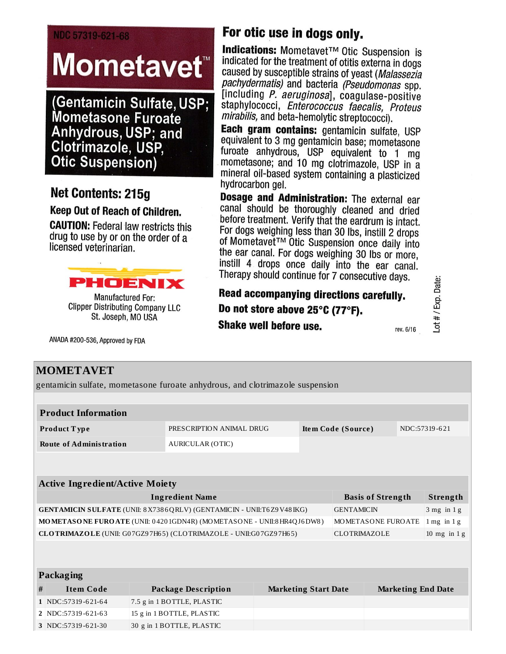#### NDC 57319-621-68

# **Mometavet**

**(Gentamicin Sulfate, USP; Mometasone Furoate** Anhydrous, USP; and Clotrimazole, USP, **Otic Suspension)** 

# Net Contents: 215q

#### Keep Out of Reach of Children.

**CAUTION:** Federal law restricts this drug to use by or on the order of a licensed veterinarian.



**Manufactured For: Clipper Distributing Company LLC** St. Joseph, MO USA

ANADA #200-536, Approved by FDA

# For otic use in dogs only.

Indications: Mometavet™ Otic Suspension is indicated for the treatment of otitis externa in dogs caused by susceptible strains of yeast (Malassezia pachydermatis) and bacteria (Pseudomonas spp. [including P. aeruginosa], coagulase-positive staphylococci, Enterococcus faecalis, Proteus *mirabilis,* and beta-hemolytic streptococci).

Each gram contains: gentamicin sulfate, USP equivalent to 3 mg gentamicin base; mometasone furoate anhydrous, USP equivalent to 1 mg mometasone; and 10 mg clotrimazole, USP in a mineral oil-based system containing a plasticized hydrocarbon gel.

Dosage and Administration: The external ear canal should be thoroughly cleaned and dried before treatment. Verify that the eardrum is intact. For dogs weighing less than 30 lbs, instill 2 drops of Mometavet™ Otic Suspension once daily into the ear canal. For dogs weighing 30 lbs or more, instill 4 drops once daily into the ear canal. Therapy should continue for 7 consecutive days.

## Read accompanying directions carefully. Do not store above 25°C (77°F). Shake well before use.

rev. 6/16

Lot # / Exp. Date:

## **MOMETAVET**

gentamicin sulfate, mometasone furoate anhydrous, and clotrimazole suspension

|                                                                                                  | <b>Product Information</b>                                                       |                            |                          |  |                             |                          |                           |                |          |  |  |  |
|--------------------------------------------------------------------------------------------------|----------------------------------------------------------------------------------|----------------------------|--------------------------|--|-----------------------------|--------------------------|---------------------------|----------------|----------|--|--|--|
|                                                                                                  | Product Type                                                                     |                            | PRESCRIPTION ANIMAL DRUG |  |                             | Item Code (Source)       |                           | NDC:57319-621  |          |  |  |  |
|                                                                                                  | <b>Route of Administration</b>                                                   |                            | <b>AURICULAR (OTIC)</b>  |  |                             |                          |                           |                |          |  |  |  |
|                                                                                                  |                                                                                  |                            |                          |  |                             |                          |                           |                |          |  |  |  |
|                                                                                                  |                                                                                  |                            |                          |  |                             |                          |                           |                |          |  |  |  |
| <b>Active Ingredient/Active Moiety</b>                                                           |                                                                                  |                            |                          |  |                             |                          |                           |                |          |  |  |  |
| <b>Ingredient Name</b>                                                                           |                                                                                  |                            |                          |  |                             | <b>Basis of Strength</b> |                           |                | Strength |  |  |  |
| <b>GENTAMICIN SULFATE (UNII: 8X7386QRLV) (GENTAMICIN - UNII:T6Z9V48IKG)</b><br><b>GENTAMICIN</b> |                                                                                  |                            |                          |  |                             |                          |                           | $3$ mg in $1g$ |          |  |  |  |
| MOMETASONE FUROATE (UNII: 04201GDN4R) (MOMETASONE - UNII:8 HR4QJ6DW8)<br>MOMETASONE FUROATE      |                                                                                  |                            |                          |  |                             |                          | $1$ mg in $1$ g           |                |          |  |  |  |
|                                                                                                  | CLOTRIMAZOLE (UNII: G07GZ97H65) (CLOTRIMAZOLE - UNII:G07GZ97H65)<br>CLOTRIMAZOLE |                            |                          |  |                             |                          |                           | 10 mg in $1 g$ |          |  |  |  |
|                                                                                                  |                                                                                  |                            |                          |  |                             |                          |                           |                |          |  |  |  |
|                                                                                                  |                                                                                  |                            |                          |  |                             |                          |                           |                |          |  |  |  |
| Packaging                                                                                        |                                                                                  |                            |                          |  |                             |                          |                           |                |          |  |  |  |
| #                                                                                                | <b>Item Code</b>                                                                 | <b>Package Description</b> |                          |  | <b>Marketing Start Date</b> |                          | <b>Marketing End Date</b> |                |          |  |  |  |
|                                                                                                  | 1 NDC:57319-621-64                                                               | 7.5 g in 1 BOTTLE, PLASTIC |                          |  |                             |                          |                           |                |          |  |  |  |
|                                                                                                  | 2 NDC:57319-621-63                                                               | 15 g in 1 BOTTLE, PLASTIC  |                          |  |                             |                          |                           |                |          |  |  |  |
|                                                                                                  | 3 NDC:57319-621-30                                                               | 30 g in 1 BOTTLE, PLASTIC  |                          |  |                             |                          |                           |                |          |  |  |  |